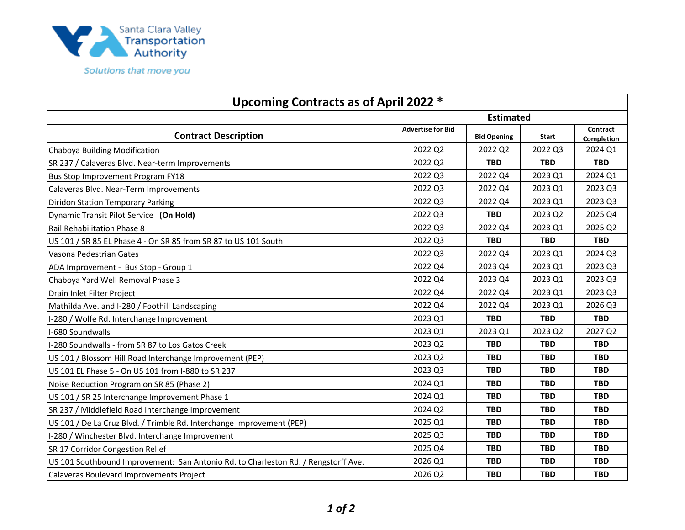

| Upcoming Contracts as of April 2022 *                                              |                          |                    |            |                        |  |
|------------------------------------------------------------------------------------|--------------------------|--------------------|------------|------------------------|--|
|                                                                                    | <b>Estimated</b>         |                    |            |                        |  |
| <b>Contract Description</b>                                                        | <b>Advertise for Bid</b> | <b>Bid Opening</b> | Start      | Contract<br>Completion |  |
| Chaboya Building Modification                                                      | 2022 Q2                  | 2022 Q2            | 2022 Q3    | 2024 Q1                |  |
| SR 237 / Calaveras Blvd. Near-term Improvements                                    | 2022 Q2                  | <b>TBD</b>         | <b>TBD</b> | <b>TBD</b>             |  |
| Bus Stop Improvement Program FY18                                                  | 2022 Q3                  | 2022 Q4            | 2023 Q1    | 2024 Q1                |  |
| Calaveras Blvd. Near-Term Improvements                                             | 2022 Q3                  | 2022 Q4            | 2023 Q1    | 2023 Q3                |  |
| <b>Diridon Station Temporary Parking</b>                                           | 2022 Q3                  | 2022 Q4            | 2023 Q1    | 2023 Q3                |  |
| Dynamic Transit Pilot Service (On Hold)                                            | 2022 Q3                  | <b>TBD</b>         | 2023 Q2    | 2025 Q4                |  |
| Rail Rehabilitation Phase 8                                                        | 2022 Q3                  | 2022 Q4            | 2023 Q1    | 2025 Q2                |  |
| US 101 / SR 85 EL Phase 4 - On SR 85 from SR 87 to US 101 South                    | 2022 Q3                  | <b>TBD</b>         | <b>TBD</b> | <b>TBD</b>             |  |
| Vasona Pedestrian Gates                                                            | 2022 Q3                  | 2022 Q4            | 2023 Q1    | 2024 Q3                |  |
| ADA Improvement - Bus Stop - Group 1                                               | 2022 Q4                  | 2023 Q4            | 2023 Q1    | 2023 Q3                |  |
| Chaboya Yard Well Removal Phase 3                                                  | 2022 Q4                  | 2023 Q4            | 2023 Q1    | 2023 Q3                |  |
| Drain Inlet Filter Project                                                         | 2022 Q4                  | 2022 Q4            | 2023 Q1    | 2023 Q3                |  |
| Mathilda Ave. and I-280 / Foothill Landscaping                                     | 2022 Q4                  | 2022 Q4            | 2023 Q1    | 2026 Q3                |  |
| I-280 / Wolfe Rd. Interchange Improvement                                          | 2023 Q1                  | <b>TBD</b>         | <b>TBD</b> | <b>TBD</b>             |  |
| I-680 Soundwalls                                                                   | 2023 Q1                  | 2023 Q1            | 2023 Q2    | 2027 Q2                |  |
| I-280 Soundwalls - from SR 87 to Los Gatos Creek                                   | 2023 Q2                  | <b>TBD</b>         | <b>TBD</b> | <b>TBD</b>             |  |
| US 101 / Blossom Hill Road Interchange Improvement (PEP)                           | 2023 Q2                  | <b>TBD</b>         | <b>TBD</b> | <b>TBD</b>             |  |
| US 101 EL Phase 5 - On US 101 from I-880 to SR 237                                 | 2023 Q3                  | <b>TBD</b>         | <b>TBD</b> | <b>TBD</b>             |  |
| Noise Reduction Program on SR 85 (Phase 2)                                         | 2024 Q1                  | <b>TBD</b>         | <b>TBD</b> | <b>TBD</b>             |  |
| US 101 / SR 25 Interchange Improvement Phase 1                                     | 2024 Q1                  | <b>TBD</b>         | <b>TBD</b> | <b>TBD</b>             |  |
| SR 237 / Middlefield Road Interchange Improvement                                  | 2024 Q2                  | <b>TBD</b>         | <b>TBD</b> | <b>TBD</b>             |  |
| US 101 / De La Cruz Blvd. / Trimble Rd. Interchange Improvement (PEP)              | 2025 Q1                  | <b>TBD</b>         | <b>TBD</b> | <b>TBD</b>             |  |
| I-280 / Winchester Blvd. Interchange Improvement                                   | 2025 Q3                  | <b>TBD</b>         | <b>TBD</b> | <b>TBD</b>             |  |
| SR 17 Corridor Congestion Relief                                                   | 2025 Q4                  | <b>TBD</b>         | <b>TBD</b> | <b>TBD</b>             |  |
| US 101 Southbound Improvement: San Antonio Rd. to Charleston Rd. / Rengstorff Ave. | 2026 Q1                  | <b>TBD</b>         | <b>TBD</b> | <b>TBD</b>             |  |
| Calaveras Boulevard Improvements Project                                           | 2026 Q2                  | <b>TBD</b>         | <b>TBD</b> | <b>TBD</b>             |  |